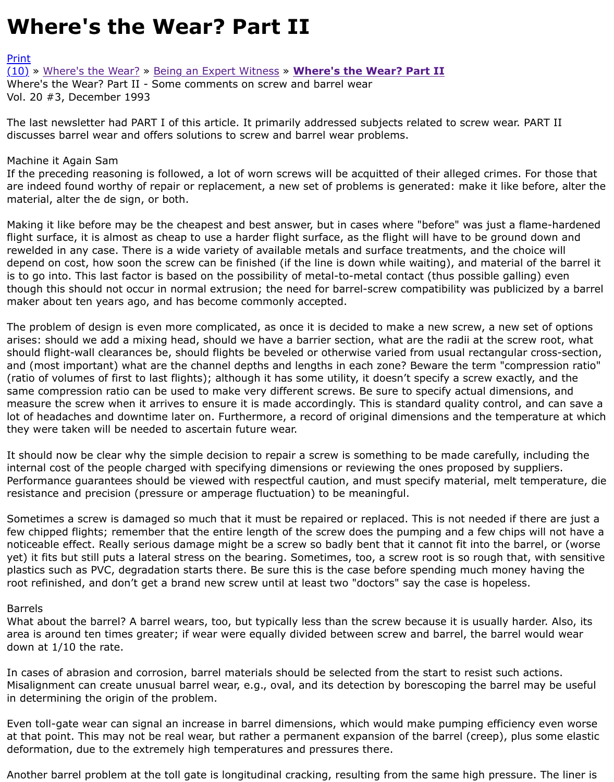The last newsletter had PART I of this article. It primarily addressed subjects related to screw wear. discusses barrel wear and offers solutions to screw and barrel wear problems.

## [Mach](http://extrusionwiki.com/wiki/Print.aspx?Page=CC-V20-3-A)ine it Again Sam

[If the](http://extrusionwiki.com/wiki/CC-V20-3-A.ashx#) [preceding reasoning](http://extrusionwiki.com/wiki/CC-V20-2-E.ashx) i[s followed, a lot of worn s](http://extrusionwiki.com/wiki/CC-V20-2-F.ashx)cr[ews will be acquitted of their a](http://extrusionwiki.com/wiki/CC-V20-3-A.ashx)lleged crimes. are indeed found worthy of repair or replacement, a new set of problems is generated: make it like material, alter the de sign, or both.

Making it like before may be the cheapest and best answer, but in cases where "before" was just a f flight surface, it is almost as cheap to use a harder flight surface, as the flight will have to be groun rewelded in any case. There is a wide variety of available metals and surface treatments, and the ch depend on cost, how soon the screw can be finished (if the line is down while waiting), and material is to go into. This last factor is based on the possibility of metal-to-metal contact (thus possible gall though this should not occur in normal extrusion; the need for barrel-screw compatibility was public maker about ten years ago, and has become commonly accepted.

The problem of design is even more complicated, as once it is decided to make a new screw, a new arises: should we add a mixing head, should we have a barrier section, what are the radii at the scr should flight-wall clearances be, should flights be beveled or otherwise varied from usual rectangula and (most important) what are the channel depths and lengths in each zone? Beware the term "con (ratio of volumes of first to last flights); although it has some utility, it doesn't specify a screw exact same compression ratio can be used to make very different screws. Be sure to specify actual dimen measure the screw when it arrives to ensure it is made accordingly. This is standard quality control, lot of headaches and downtime later on. Furthermore, a record of original dimensions and the temp they were taken will be needed to ascertain future wear.

It should now be clear why the simple decision to repair a screw is something to be made carefully, internal cost of the people charged with specifying dimensions or reviewing the ones proposed by su Performance guarantees should be viewed with respectful caution, and must specify material, melt t resistance and precision (pressure or amperage fluctuation) to be meaningful.

Sometimes a screw is damaged so much that it must be repaired or replaced. This is not needed if t few chipped flights; remember that the entire length of the screw does the pumping and a few chips noticeable effect. Really serious damage might be a screw so badly bent that it cannot fit into the ba yet) it fits but still puts a lateral stress on the bearing. Sometimes, too, a screw root is so rough tha plastics such as PVC, degradation starts there. Be sure this is the case before spending much mone root refinished, and don't get a brand new screw until at least two "doctors" say the case is hopeles

## Barrels

What about the barrel? A barrel wears, too, but typically less than the screw because it is usually hard area is around ten times greater; if wear were equally divided between screw and barrel, the barrel down at 1/10 the rate.

In cases of abrasion and corrosion, barrel materials should be selected from the start to resist such Misalignment can create unusual barrel wear, e.g., oval, and its detection by borescoping the barrel in determining the origin of the problem.

Even toll-gate wear can signal an increase in barrel dimensions, which would make pumping efficier at that point. This may not be real wear, but rather a permanent expansion of the barrel (creep), plus deformation, due to the extremely high temperatures and pressures there.

Another barrel problem at the toll gate is longitudinal cracking, resulting from the same high pressu